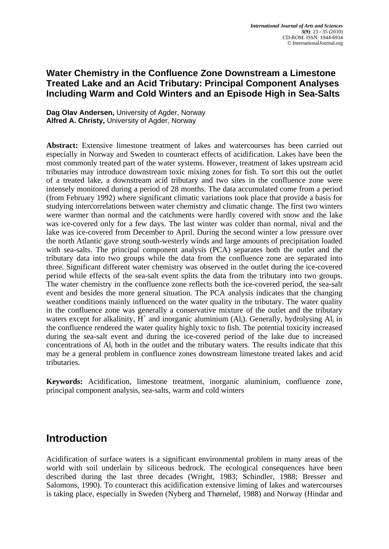### **Water Chemistry in the Confluence Zone Downstream a Limestone Treated Lake and an Acid Tributary: Principal Component Analyses Including Warm and Cold Winters and an Episode High in Sea-Salts**

**Dag Olav Andersen,** University of Agder, Norway **Alfred A. Christy,** University of Agder, Norway

**Abstract:** Extensive limestone treatment of lakes and watercourses has been carried out especially in Norway and Sweden to counteract effects of acidification. Lakes have been the most commonly treated part of the water systems. However, treatment of lakes upstream acid tributaries may introduce downstream toxic mixing zones for fish. To sort this out the outlet of a treated lake, a downstream acid tributary and two sites in the confluence zone were intensely monitored during a period of 28 months. The data accumulated come from a period (from February 1992) where significant climatic variations took place that provide a basis for studying intercorrelations between water chemistry and climatic change. The first two winters were warmer than normal and the catchments were hardly covered with snow and the lake was ice-covered only for a few days. The last winter was colder than normal, nival and the lake was ice-covered from December to April. During the second winter a low pressure over the north Atlantic gave strong south-westerly winds and large amounts of precipitation loaded with sea-salts. The principal component analysis (PCA) separates both the outlet and the tributary data into two groups while the data from the confluence zone are separated into three. Significant different water chemistry was observed in the outlet during the ice-covered period while effects of the sea-salt event splits the data from the tributary into two groups. The water chemistry in the confluence zone reflects both the ice-covered period, the sea-salt event and besides the more general situation. The PCA analysis indicates that the changing weather conditions mainly influenced on the water quality in the tributary. The water quality in the confluence zone was generally a conservative mixture of the outlet and the tributary waters except for alkalinity,  $H^+$  and inorganic aluminium (Al<sub>i</sub>). Generally, hydrolysing Al<sub>i</sub> in the confluence rendered the water quality highly toxic to fish. The potential toxicity increased during the sea-salt event and during the ice-covered period of the lake due to increased concentrations of Ali both in the outlet and the tributary waters. The results indicate that this may be a general problem in confluence zones downstream limestone treated lakes and acid tributaries.

**Keywords:** Acidification, limestone treatment, inorganic aluminium, confluence zone, principal component analysis, sea-salts, warm and cold winters

# **Introduction**

Acidification of surface waters is a significant environmental problem in many areas of the world with soil underlain by siliceous bedrock. The ecological consequences have been described during the last three decades (Wright, 1983; Schindler, 1988; Bresser and Salomons, 1990). To counteract this acidification extensive liming of lakes and watercourses is taking place, especially in Sweden (Nyberg and Thørneløf, 1988) and Norway (Hindar and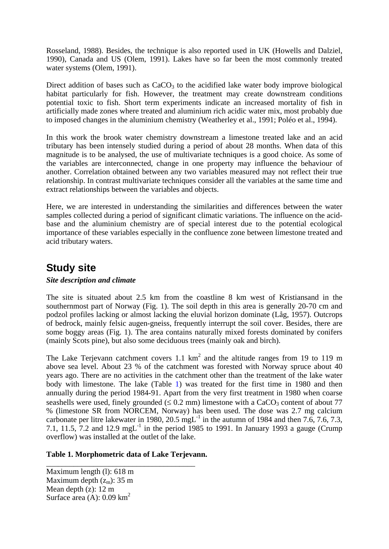Rosseland, 1988). Besides, the technique is also reported used in UK (Howells and Dalziel, 1990), Canada and US (Olem, 1991). Lakes have so far been the most commonly treated water systems (Olem, 1991).

Direct addition of bases such as  $CaCO<sub>3</sub>$  to the acidified lake water body improve biological habitat particularly for fish. However, the treatment may create downstream conditions potential toxic to fish. Short term experiments indicate an increased mortality of fish in artificially made zones where treated and aluminium rich acidic water mix, most probably due to imposed changes in the aluminium chemistry (Weatherley et al., 1991; Poléo et al., 1994).

In this work the brook water chemistry downstream a limestone treated lake and an acid tributary has been intensely studied during a period of about 28 months. When data of this magnitude is to be analysed, the use of multivariate techniques is a good choice. As some of the variables are interconnected, change in one property may influence the behaviour of another. Correlation obtained between any two variables measured may not reflect their true relationship. In contrast multivariate techniques consider all the variables at the same time and extract relationships between the variables and objects.

Here, we are interested in understanding the similarities and differences between the water samples collected during a period of significant climatic variations. The influence on the acidbase and the aluminium chemistry are of special interest due to the potential ecological importance of these variables especially in the confluence zone between limestone treated and acid tributary waters.

## **Study site**

### *Site description and climate*

The site is situated about 2.5 km from the coastline 8 km west of Kristiansand in the southernmost part of Norway (Fig. 1). The soil depth in this area is generally 20-70 cm and podzol profiles lacking or almost lacking the eluvial horizon dominate (Låg, 1957). Outcrops of bedrock, mainly felsic augen-gneiss, frequently interrupt the soil cover. Besides, there are some boggy areas (Fig. 1). The area contains naturally mixed forests dominated by conifers (mainly Scots pine), but also some deciduous trees (mainly oak and birch).

The Lake Terjevann catchment covers 1.1  $km^2$  and the altitude ranges from 19 to 119 m above sea level. About 23 % of the catchment was forested with Norway spruce about 40 years ago. There are no activities in the catchment other than the treatment of the lake water body with limestone. The lake (Table 1) was treated for the first time in 1980 and then annually during the period 1984-91. Apart from the very first treatment in 1980 when coarse seashells were used, finely grounded ( $\leq 0.2$  mm) limestone with a CaCO<sub>3</sub> content of about 77 % (limestone SR from NORCEM, Norway) has been used. The dose was 2.7 mg calcium carbonate per litre lakewater in 1980, 20.5 mgL $^{-1}$  in the autumn of 1984 and then 7.6, 7.6, 7.3, 7.1, 11.5,  $7.2$  and 12.9 mgL<sup>-1</sup> in the period 1985 to 1991. In January 1993 a gauge (Crump) overflow) was installed at the outlet of the lake.

### **Table 1. Morphometric data of Lake Terjevann.**

\_\_\_\_\_\_\_\_\_\_\_\_\_\_\_\_\_\_\_\_\_\_\_\_\_\_\_\_\_\_\_\_\_\_\_\_\_\_

Maximum length (l): 618 m Maximum depth  $(z_m)$ : 35 m Mean depth (z): 12 m Surface area (A):  $0.09 \text{ km}^2$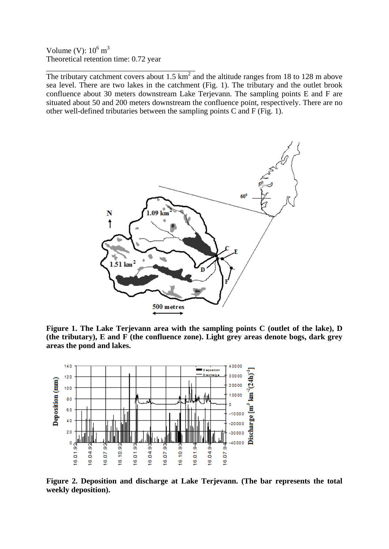Volume (V):  $10^6$  m<sup>3</sup> Theoretical retention time: 0.72 year

\_\_\_\_\_\_\_\_\_\_\_\_\_\_\_\_\_\_\_\_\_\_\_\_\_\_\_\_\_\_\_\_\_\_\_\_\_\_ The tributary catchment covers about 1.5  $km^2$  and the altitude ranges from 18 to 128 m above sea level. There are two lakes in the catchment (Fig. 1). The tributary and the outlet brook confluence about 30 meters downstream Lake Terjevann. The sampling points E and F are situated about 50 and 200 meters downstream the confluence point, respectively. There are no other well-defined tributaries between the sampling points C and F (Fig. 1).



**Figure 1. The Lake Terjevann area with the sampling points C (outlet of the lake), D (the tributary), E and F (the confluence zone). Light grey areas denote bogs, dark grey areas the pond and lakes.**



**Figure 2. Deposition and discharge at Lake Terjevann. (The bar represents the total weekly deposition).**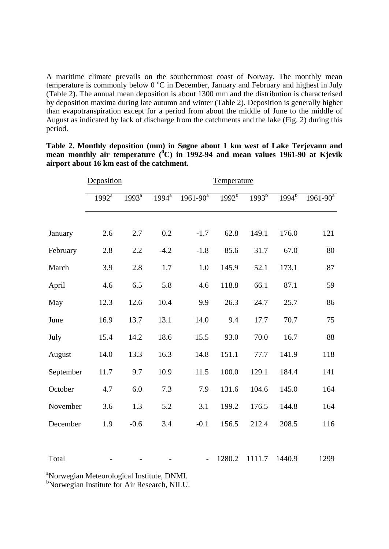A maritime climate prevails on the southernmost coast of Norway. The monthly mean temperature is commonly below 0 °C in December, January and February and highest in July (Table 2). The annual mean deposition is about 1300 mm and the distribution is characterised by deposition maxima during late autumn and winter (Table 2). Deposition is generally higher than evapotranspiration except for a period from about the middle of June to the middle of August as indicated by lack of discharge from the catchments and the lake (Fig. 2) during this period.

|           | Deposition       |                     |                     |                          |            |            |          |               |
|-----------|------------------|---------------------|---------------------|--------------------------|------------|------------|----------|---------------|
|           | $1992^{\bar{a}}$ | $1993^{\mathrm{a}}$ | $199\overline{4^a}$ | $1961 - 90^a$            | $1992^{b}$ | $1993^{b}$ | $1994^b$ | $1961 - 90^a$ |
|           |                  |                     |                     |                          |            |            |          |               |
| January   | 2.6              | 2.7                 | 0.2                 | $-1.7$                   | 62.8       | 149.1      | 176.0    | 121           |
| February  | 2.8              | 2.2                 | $-4.2$              | $-1.8$                   | 85.6       | 31.7       | 67.0     | 80            |
| March     | 3.9              | 2.8                 | 1.7                 | 1.0                      | 145.9      | 52.1       | 173.1    | 87            |
| April     | 4.6              | 6.5                 | 5.8                 | 4.6                      | 118.8      | 66.1       | 87.1     | 59            |
| May       | 12.3             | 12.6                | 10.4                | 9.9                      | 26.3       | 24.7       | 25.7     | 86            |
| June      | 16.9             | 13.7                | 13.1                | 14.0                     | 9.4        | 17.7       | 70.7     | 75            |
| July      | 15.4             | 14.2                | 18.6                | 15.5                     | 93.0       | 70.0       | 16.7     | 88            |
| August    | 14.0             | 13.3                | 16.3                | 14.8                     | 151.1      | 77.7       | 141.9    | 118           |
| September | 11.7             | 9.7                 | 10.9                | 11.5                     | 100.0      | 129.1      | 184.4    | 141           |
| October   | 4.7              | 6.0                 | 7.3                 | 7.9                      | 131.6      | 104.6      | 145.0    | 164           |
| November  | 3.6              | 1.3                 | 5.2                 | 3.1                      | 199.2      | 176.5      | 144.8    | 164           |
| December  | 1.9              | $-0.6$              | 3.4                 | $-0.1$                   | 156.5      | 212.4      | 208.5    | 116           |
| Total     |                  |                     |                     | $\overline{\phantom{0}}$ | 1280.2     | 1111.7     | 1440.9   | 1299          |

**Table 2. Monthly deposition (mm) in Søgne about 1 km west of Lake Terjevann and mean monthly air temperature (<sup>0</sup> C) in 1992-94 and mean values 1961-90 at Kjevik airport about 16 km east of the catchment.**

<sup>a</sup>Norwegian Meteorological Institute, DNMI.

b Norwegian Institute for Air Research, NILU.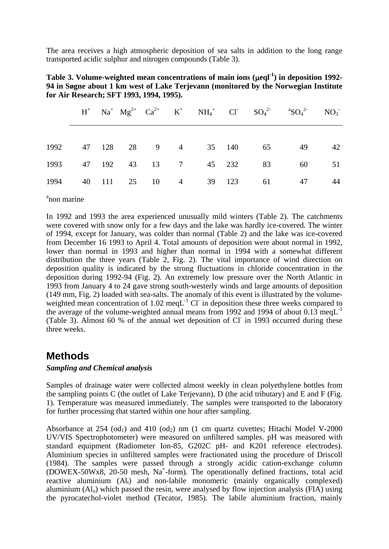The area receives a high atmospheric deposition of sea salts in addition to the long range transported acidic sulphur and nitrogen compounds (Table 3).

| Table 3. Volume-weighted mean concentrations of main ions $(\mu$ eql <sup>-1</sup> ) in deposition 1992- |
|----------------------------------------------------------------------------------------------------------|
| 94 in Søgne about 1 km west of Lake Terjevann (monitored by the Norwegian Institute                      |
| for Air Research; SFT 1993, 1994, 1995).                                                                 |

|      |  |  |  |                                 | $H^+$ Na <sup>+</sup> Mg <sup>2+</sup> Ca <sup>2+</sup> K <sup>+</sup> NH <sub>4</sub> <sup>+</sup> Cl <sup>-</sup> SO <sub>4</sub> <sup>2-</sup> <sup>a</sup> SO <sub>4</sub> <sup>2</sup> - NO <sub>3</sub> <sup>-</sup> |    |
|------|--|--|--|---------------------------------|----------------------------------------------------------------------------------------------------------------------------------------------------------------------------------------------------------------------------|----|
|      |  |  |  |                                 |                                                                                                                                                                                                                            |    |
|      |  |  |  | 1992 47 128 28 9 4 35 140 65 49 |                                                                                                                                                                                                                            | 42 |
| 1993 |  |  |  | 47 192 43 13 7 45 232 83        | 60                                                                                                                                                                                                                         | 51 |
| 1994 |  |  |  | 40 111 25 10 4 39 123 61 47     |                                                                                                                                                                                                                            | 44 |

<sup>a</sup>non marine

In 1992 and 1993 the area experienced unusually mild winters (Table 2). The catchments were covered with snow only for a few days and the lake was hardly ice-covered. The winter of 1994, except for January, was colder than normal (Table 2) and the lake was ice-covered from December 16 1993 to April 4. Total amounts of deposition were about normal in 1992, lower than normal in 1993 and higher than normal in 1994 with a somewhat different distribution the three years (Table 2, Fig. 2). The vital importance of wind direction on deposition quality is indicated by the strong fluctuations in chloride concentration in the deposition during 1992-94 (Fig. 2). An extremely low pressure over the North Atlantic in 1993 from January 4 to 24 gave strong south-westerly winds and large amounts of deposition (149 mm, Fig. 2) loaded with sea-salts. The anomaly of this event is illustrated by the volumeweighted mean concentration of  $1.02 \text{ meq}L^{-1}$  Cl in deposition these three weeks compared to the average of the volume-weighted annual means from 1992 and 1994 of about 0.13 meg $L^{-1}$ (Table 3). Almost 60 % of the annual wet deposition of Cl<sup>-</sup> in 1993 occurred during these three weeks.

### **Methods**

#### *Sampling and Chemical analysis*

Samples of drainage water were collected almost weekly in clean polyethylene bottles from the sampling points C (the outlet of Lake Terjevann), D (the acid tributary) and E and F (Fig. 1). Temperature was measured immediately. The samples were transported to the laboratory for further processing that started within one hour after sampling.

Absorbance at 254 (od<sub>1</sub>) and 410 (od<sub>2</sub>) nm (1 cm quartz cuvettes; Hitachi Model V-2000 UV/VIS Spectrophotometer) were measured on unfiltered samples. pH was measured with standard equipment (Radiometer Ion-85, G202C pH- and K201 reference electrodes). Aluminium species in unfiltered samples were fractionated using the procedure of Driscoll (1984). The samples were passed through a strongly acidic cation-exchange column (DOWEX-50Wx8, 20-50 mesh, Na<sup>+</sup>-form). The operationally defined fractions, total acid reactive aluminium  $(A<sub>l</sub>)$  and non-labile monomeric (mainly organically complexed) aluminium  $(A<sub>1</sub>)$  which passed the resin, were analysed by flow injection analysis (FIA) using the pyrocatechol-violet method (Tecator, 1985). The labile aluminium fraction, mainly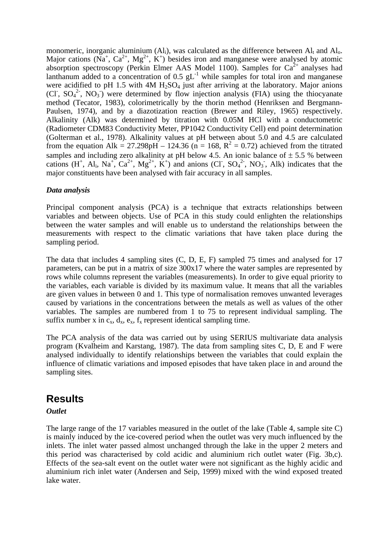monomeric, inorganic aluminium  $(Al_i)$ , was calculated as the difference between  $Al_i$  and  $Al_i$ . Major cations ( $Na^+$ ,  $Ca^{2+}$ ,  $Mg^{2+}$ ,  $K^+$ ) besides iron and manganese were analysed by atomic absorption spectroscopy (Perkin Elmer AAS Model 1100). Samples for  $Ca^{2+}$  analyses had lanthanum added to a concentration of  $0.5 \text{ gL}^{-1}$  while samples for total iron and manganese were acidified to pH 1.5 with 4M  $H_2SO_4$  just after arriving at the laboratory. Major anions (CI,  $SO_4^2$ ,  $NO_3$ ) were determined by flow injection analysis (FIA) using the thiocyanate method (Tecator, 1983), colorimetrically by the thorin method (Henriksen and Bergmann-Paulsen, 1974), and by a diazotization reaction (Brewer and Riley, 1965) respectively. Alkalinity (Alk) was determined by titration with 0.05M HCl with a conductometric (Radiometer CDM83 Conductivity Meter, PP1042 Conductivity Cell) end point determination (Golterman et al., 1978). Alkalinity values at pH between about 5.0 and 4.5 are calculated from the equation Alk = 27.298pH – 124.36 (n = 168,  $R^2$  = 0.72) achieved from the titrated samples and including zero alkalinity at pH below 4.5. An ionic balance of  $\pm$  5.5 % between cations  $(H^+$ ,  $Al_i$ ,  $Na^+$ ,  $Ca^{2+}$ ,  $Mg^{2+}$ ,  $K^+$ ) and anions (Cl,  $SO_4^2$ ,  $NO_3$ , Alk) indicates that the major constituents have been analysed with fair accuracy in all samples.

### *Data analysis*

Principal component analysis (PCA) is a technique that extracts relationships between variables and between objects. Use of PCA in this study could enlighten the relationships between the water samples and will enable us to understand the relationships between the measurements with respect to the climatic variations that have taken place during the sampling period.

The data that includes 4 sampling sites (C, D, E, F) sampled 75 times and analysed for 17 parameters, can be put in a matrix of size 300x17 where the water samples are represented by rows while columns represent the variables (measurements). In order to give equal priority to the variables, each variable is divided by its maximum value. It means that all the variables are given values in between 0 and 1. This type of normalisation removes unwanted leverages caused by variations in the concentrations between the metals as well as values of the other variables. The samples are numbered from 1 to 75 to represent individual sampling. The suffix number x in  $c_x$ ,  $d_x$ ,  $e_x$ ,  $f_x$  represent identical sampling time.

The PCA analysis of the data was carried out by using SERIUS multivariate data analysis program (Kvalheim and Karstang, 1987). The data from sampling sites C, D, E and F were analysed individually to identify relationships between the variables that could explain the influence of climatic variations and imposed episodes that have taken place in and around the sampling sites.

## **Results**

### *Outlet*

The large range of the 17 variables measured in the outlet of the lake (Table 4, sample site C) is mainly induced by the ice-covered period when the outlet was very much influenced by the inlets. The inlet water passed almost unchanged through the lake in the upper 2 meters and this period was characterised by cold acidic and aluminium rich outlet water (Fig. 3b,c). Effects of the sea-salt event on the outlet water were not significant as the highly acidic and aluminium rich inlet water (Andersen and Seip, 1999) mixed with the wind exposed treated lake water.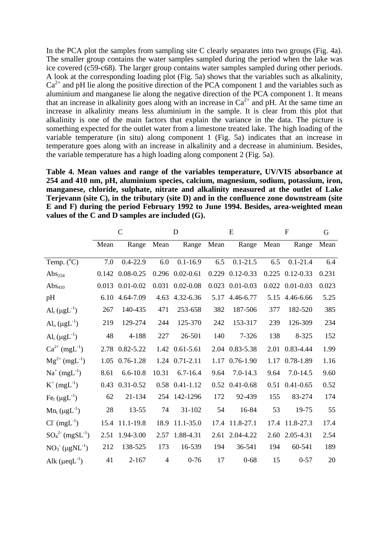In the PCA plot the samples from sampling site C clearly separates into two groups (Fig. 4a). The smaller group contains the water samples sampled during the period when the lake was ice covered (c59-c68). The larger group contains water samples sampled during other periods. A look at the corresponding loading plot (Fig. 5a) shows that the variables such as alkalinity,  $Ca<sup>2+</sup>$  and pH lie along the positive direction of the PCA component 1 and the variables such as aluminium and manganese lie along the negative direction of the PCA component 1. It means that an increase in alkalinity goes along with an increase in  $Ca^{2+}$  and pH. At the same time an increase in alkalinity means less aluminium in the sample. It is clear from this plot that alkalinity is one of the main factors that explain the variance in the data. The picture is something expected for the outlet water from a limestone treated lake. The high loading of the variable temperature (in situ) along component 1 (Fig. 5a) indicates that an increase in temperature goes along with an increase in alkalinity and a decrease in aluminium. Besides, the variable temperature has a high loading along component 2 (Fig. 5a).

**Table 4. Mean values and range of the variables temperature, UV/VIS absorbance at 254 and 410 nm, pH, aluminium species, calcium, magnesium, sodium, potassium, iron, manganese, chloride, sulphate, nitrate and alkalinity measured at the outlet of Lake Terjevann (site C), in the tributary (site D) and in the confluence zone downstream (site E and F) during the period February 1992 to June 1994. Besides, area-weighted mean values of the C and D samples are included (G).**

|                                           |       | $\mathcal{C}$   |                | D                     | E     |                      | F     |                       | G     |
|-------------------------------------------|-------|-----------------|----------------|-----------------------|-------|----------------------|-------|-----------------------|-------|
|                                           | Mean  | Range           | Mean           | Range                 | Mean  | Range                | Mean  | Range                 | Mean  |
| Temp. $(^{\circ}C)$                       | 7.0   | $0.4 - 22.9$    | 6.0            | $0.1 - 16.9$          | 6.5   | $0.1 - 21.5$         | 6.5   | $0.1 - 21.4$          | 6.4   |
| $\mathrm{Abs}_{254}$                      |       | 0.142 0.08-0.25 |                | $0.296$ $0.02 - 0.61$ |       | 0.229 0.12-0.33      | 0.225 | $0.12 - 0.33$         | 0.231 |
| Abs <sub>410</sub>                        | 0.013 | $0.01 - 0.02$   | 0.031          | $0.02 - 0.08$         | 0.023 | $0.01 - 0.03$        |       | $0.022$ $0.01 - 0.03$ | 0.023 |
| pH                                        | 6.10  | 4.64-7.09       | 4.63           | 4.32-6.36             | 5.17  | 4.46-6.77            | 5.15  | 4.46-6.66             | 5.25  |
| $\text{Al}_{t}$ ( $\mu \text{gL}^{-1}$ )  | 267   | 140-435         | 471            | 253-658               | 382   | 187-506              | 377   | 182-520               | 385   |
| $\text{Al}_0 \left( \mu g L^{-1} \right)$ | 219   | 129-274         | 244            | 125-370               | 242   | 153-317              | 239   | 126-309               | 234   |
| $\text{Al}_{i}$ ( $\mu\text{gL}^{-1}$ )   | 48    | 4-188           | 227            | 26-501                | 140   | 7-326                | 138   | 8-325                 | 152   |
| $Ca^{2+} (mgL^{-1})$                      |       | 2.78 0.82-5.22  |                | 1.42 0.61-5.61        |       | 2.04 0.83-5.38       | 2.01  | 0.83-4.44             | 1.99  |
| $Mg^{2+} (mgL^{-1})$                      | 1.05  | $0.76 - 1.28$   |                | 1.24 0.71-2.11        | 1.17  | $0.76 - 1.90$        | 1.17  | $0.78 - 1.89$         | 1.16  |
| $Na^{+} (mgL^{-1})$                       | 8.61  | $6.6 - 10.8$    | 10.31          | $6.7 - 16.4$          | 9.64  | $7.0 - 14.3$         | 9.64  | $7.0 - 14.5$          | 9.60  |
| $K^{+} (mgL^{-1})$                        | 0.43  | $0.31 - 0.52$   |                | $0.58$ $0.41 - 1.12$  |       | $0.52$ $0.41 - 0.68$ |       | $0.51$ $0.41 - 0.65$  | 0.52  |
| $\text{Fe}_{t}$ (µgL <sup>-1</sup> )      | 62    | 21-134          | 254            | 142-1296              | 172   | 92-439               | 155   | 83-274                | 174   |
| $Mn_t (\mu g L^{-1})$                     | 28    | 13-55           | 74             | $31 - 102$            | 54    | 16-84                | 53    | 19-75                 | 55    |
| $Cl^{(mgL^{-1})}$                         |       | 15.4 11.1-19.8  | 18.9           | 11.1-35.0             | 17.4  | 11.8-27.1            |       | 17.4 11.8-27.3        | 17.4  |
| $SO_4^{2}$ (mgSL <sup>-1</sup> )          | 2.51  | 1.94-3.00       | 2.57           | 1.88-4.31             | 2.61  | 2.04-4.22            |       | 2.60 2.05-4.31        | 2.54  |
| $NO_3$ ( $\mu gNL^{-1}$ )                 | 212   | 138-525         | 173            | 16-539                | 194   | 36-541               | 194   | 60-541                | 189   |
| Alk $(\mu$ eq $L^{-1})$                   | 41    | $2 - 167$       | $\overline{4}$ | $0 - 76$              | 17    | $0 - 68$             | 15    | $0 - 57$              | 20    |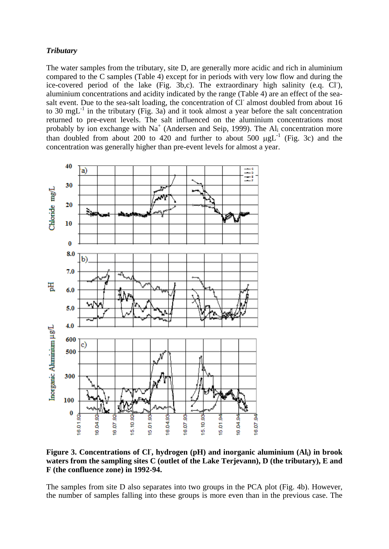#### *Tributary*

The water samples from the tributary, site D, are generally more acidic and rich in aluminium compared to the C samples (Table 4) except for in periods with very low flow and during the ice-covered period of the lake (Fig. 3b,c). The extraordinary high salinity (e.q. Cl), aluminium concentrations and acidity indicated by the range (Table 4) are an effect of the seasalt event. Due to the sea-salt loading, the concentration of Cl almost doubled from about 16 to 30 mgL $^{-1}$  in the tributary (Fig. 3a) and it took almost a year before the salt concentration returned to pre-event levels. The salt influenced on the aluminium concentrations most probably by ion exchange with  $Na^+$  (Andersen and Seip, 1999). The Al<sub>i</sub> concentration more than doubled from about 200 to 420 and further to about 500  $\mu gL^{-1}$  (Fig. 3c) and the concentration was generally higher than pre-event levels for almost a year.



Figure 3. Concentrations of CI, hydrogen (pH) and inorganic aluminium (Al<sub>i</sub>) in brook **waters from the sampling sites C (outlet of the Lake Terjevann), D (the tributary), E and F (the confluence zone) in 1992-94.** 

The samples from site D also separates into two groups in the PCA plot (Fig. 4b). However, the number of samples falling into these groups is more even than in the previous case. The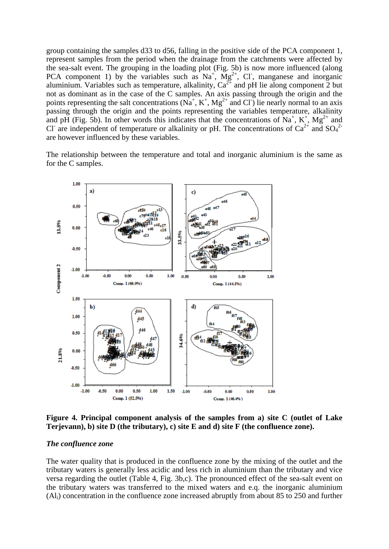group containing the samples d33 to d56, falling in the positive side of the PCA component 1, represent samples from the period when the drainage from the catchments were affected by the sea-salt event. The grouping in the loading plot (Fig. 5b) is now more influenced (along PCA component 1) by the variables such as  $Na^{+}$ ,  $Mg^{2+}$ , Cl, manganese and inorganic aluminium. Variables such as temperature, alkalinity,  $Ca^{2+}$  and pH lie along component 2 but not as dominant as in the case of the C samples. An axis passing through the origin and the points representing the salt concentrations  $(Na^+, K^+, Mg^{2+}$  and Cl<sup>-</sup>) lie nearly normal to an axis passing through the origin and the points representing the variables temperature, alkalinity and pH (Fig. 5b). In other words this indicates that the concentrations of  $\mathrm{Na}^+$ ,  $\mathrm{K}^+$ ,  $\mathrm{Mg}^{2+}$  and Cl<sup>-</sup> are independent of temperature or alkalinity or pH. The concentrations of  $Ca^{2+}$  and  $SO_4^{2-}$ are however influenced by these variables.

The relationship between the temperature and total and inorganic aluminium is the same as for the C samples.



**Figure 4. Principal component analysis of the samples from a) site C (outlet of Lake Terjevann), b) site D (the tributary), c) site E and d) site F (the confluence zone).**

#### *The confluence zone*

The water quality that is produced in the confluence zone by the mixing of the outlet and the tributary waters is generally less acidic and less rich in aluminium than the tributary and vice versa regarding the outlet (Table 4, Fig. 3b,c). The pronounced effect of the sea-salt event on the tributary waters was transferred to the mixed waters and e.q. the inorganic aluminium (Ali) concentration in the confluence zone increased abruptly from about 85 to 250 and further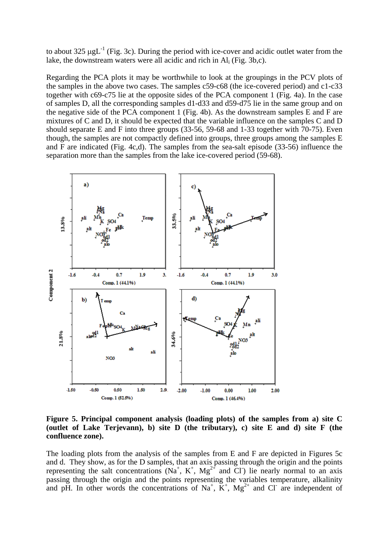to about 325  $\mu g L^{-1}$  (Fig. 3c). During the period with ice-cover and acidic outlet water from the lake, the downstream waters were all acidic and rich in Ali (Fig. 3b,c).

Regarding the PCA plots it may be worthwhile to look at the groupings in the PCV plots of the samples in the above two cases. The samples c59-c68 (the ice-covered period) and c1-c33 together with c69-c75 lie at the opposite sides of the PCA component 1 (Fig. 4a). In the case of samples D, all the corresponding samples d1-d33 and d59-d75 lie in the same group and on the negative side of the PCA component 1 (Fig. 4b). As the downstream samples E and F are mixtures of C and D, it should be expected that the variable influence on the samples C and D should separate E and F into three groups (33-56, 59-68 and 1-33 together with 70-75). Even though, the samples are not compactly defined into groups, three groups among the samples E and F are indicated (Fig. 4c,d). The samples from the sea-salt episode (33-56) influence the separation more than the samples from the lake ice-covered period (59-68).



**Figure 5. Principal component analysis (loading plots) of the samples from a) site C (outlet of Lake Terjevann), b) site D (the tributary), c) site E and d) site F (the confluence zone).**

The loading plots from the analysis of the samples from E and F are depicted in Figures 5c and d. They show, as for the D samples, that an axis passing through the origin and the points representing the salt concentrations  $(Na^+, K^+, Mg^{2+}$  and Cl ie nearly normal to an axis passing through the origin and the points representing the variables temperature, alkalinity and pH. In other words the concentrations of  $\mathrm{Na}^+$ ,  $\mathrm{K}^+$ ,  $\mathrm{Mg}^{2+}$  and Cl are independent of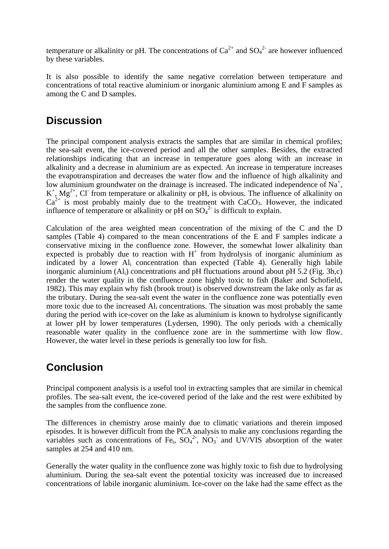temperature or alkalinity or pH. The concentrations of  $Ca^{2+}$  and  $SO_4^{2-}$  are however influenced by these variables.

It is also possible to identify the same negative correlation between temperature and concentrations of total reactive aluminium or inorganic aluminium among E and F samples as among the C and D samples.

# **Discussion**

The principal component analysis extracts the samples that are similar in chemical profiles; the sea-salt event, the ice-covered period and all the other samples. Besides, the extracted relationships indicating that an increase in temperature goes along with an increase in alkalinity and a decrease in aluminium are as expected. An increase in temperature increases the evapotranspiration and decreases the water flow and the influence of high alkalinity and low aluminium groundwater on the drainage is increased. The indicated independence of  $Na<sup>+</sup>$ ,  $K^+$ ,  $Mg^{2+}$ , Cl<sup>-</sup> from temperature or alkalinity or pH, is obvious. The influence of alkalinity on  $Ca^{2+}$  is most probably mainly due to the treatment with  $CaCO<sub>3</sub>$ . However, the indicated influence of temperature or alkalinity or pH on  $SO_4^2$  is difficult to explain.

Calculation of the area weighted mean concentration of the mixing of the C and the D samples (Table 4) compared to the mean concentrations of the E and F samples indicate a conservative mixing in the confluence zone. However, the somewhat lower alkalinity than expected is probably due to reaction with  $H<sup>+</sup>$  from hydrolysis of inorganic aluminium as indicated by a lower Ali concentration than expected (Table 4). Generally high labile inorganic aluminium  $(A<sub>i</sub>)$  concentrations and pH fluctuations around about pH 5.2 (Fig. 3b,c) render the water quality in the confluence zone highly toxic to fish (Baker and Schofield, 1982). This may explain why fish (brook trout) is observed downstream the lake only as far as the tributary. During the sea-salt event the water in the confluence zone was potentially even more toxic due to the increased Ali concentrations. The situation was most probably the same during the period with ice-cover on the lake as aluminium is known to hydrolyse significantly at lower pH by lower temperatures (Lydersen, 1990). The only periods with a chemically reasonable water quality in the confluence zone are in the summertime with low flow. However, the water level in these periods is generally too low for fish.

# **Conclusion**

Principal component analysis is a useful tool in extracting samples that are similar in chemical profiles. The sea-salt event, the ice-covered period of the lake and the rest were exhibited by the samples from the confluence zone.

The differences in chemistry arose mainly due to climatic variations and therein imposed episodes. It is however difficult from the PCA analysis to make any conclusions regarding the variables such as concentrations of Fe<sub>t</sub>,  $SO_4^2$ ,  $NO_3^-$  and UV/VIS absorption of the water samples at 254 and 410 nm.

Generally the water quality in the confluence zone was highly toxic to fish due to hydrolysing aluminium. During the sea-salt event the potential toxicity was increased due to increased concentrations of labile inorganic aluminium. Ice-cover on the lake had the same effect as the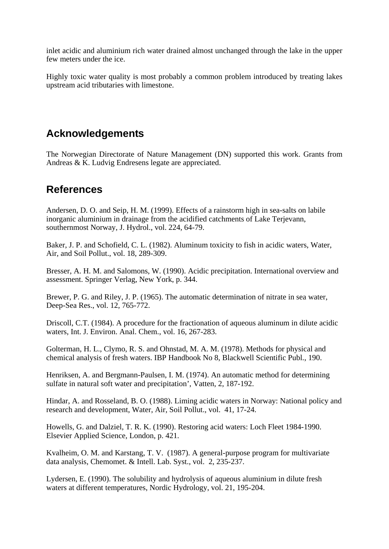inlet acidic and aluminium rich water drained almost unchanged through the lake in the upper few meters under the ice.

Highly toxic water quality is most probably a common problem introduced by treating lakes upstream acid tributaries with limestone.

# **Acknowledgements**

The Norwegian Directorate of Nature Management (DN) supported this work. Grants from Andreas & K. Ludvig Endresens legate are appreciated.

## **References**

Andersen, D. O. and Seip, H. M. (1999). Effects of a rainstorm high in sea-salts on labile inorganic aluminium in drainage from the acidified catchments of Lake Terjevann, southernmost Norway, J. Hydrol., vol. 224, 64-79.

Baker, J. P. and Schofield, C. L. (1982). Aluminum toxicity to fish in acidic waters, Water, Air, and Soil Pollut., vol. 18, 289-309.

Bresser, A. H. M. and Salomons, W. (1990). Acidic precipitation. International overview and assessment. Springer Verlag, New York, p. 344.

Brewer, P. G. and Riley, J. P. (1965). The automatic determination of nitrate in sea water, Deep-Sea Res., vol. 12, 765-772.

Driscoll, C.T. (1984). A procedure for the fractionation of aqueous aluminum in dilute acidic waters, Int. J. Environ. Anal. Chem., vol. 16, 267-283.

Golterman, H. L., Clymo, R. S. and Ohnstad, M. A. M. (1978). Methods for physical and chemical analysis of fresh waters. IBP Handbook No 8, Blackwell Scientific Publ., 190.

Henriksen, A. and Bergmann-Paulsen, I. M. (1974). An automatic method for determining sulfate in natural soft water and precipitation', Vatten, 2, 187-192.

Hindar, A. and Rosseland, B. O. (1988). Liming acidic waters in Norway: National policy and research and development, Water, Air, Soil Pollut., vol. 41, 17-24.

Howells, G. and Dalziel, T. R. K. (1990). Restoring acid waters: Loch Fleet 1984-1990. Elsevier Applied Science, London, p. 421.

Kvalheim, O. M. and Karstang, T. V. (1987). A general-purpose program for multivariate data analysis, Chemomet. & Intell. Lab. Syst., vol. 2, 235-237.

Lydersen, E. (1990). The solubility and hydrolysis of aqueous aluminium in dilute fresh waters at different temperatures, Nordic Hydrology, vol. 21, 195-204.